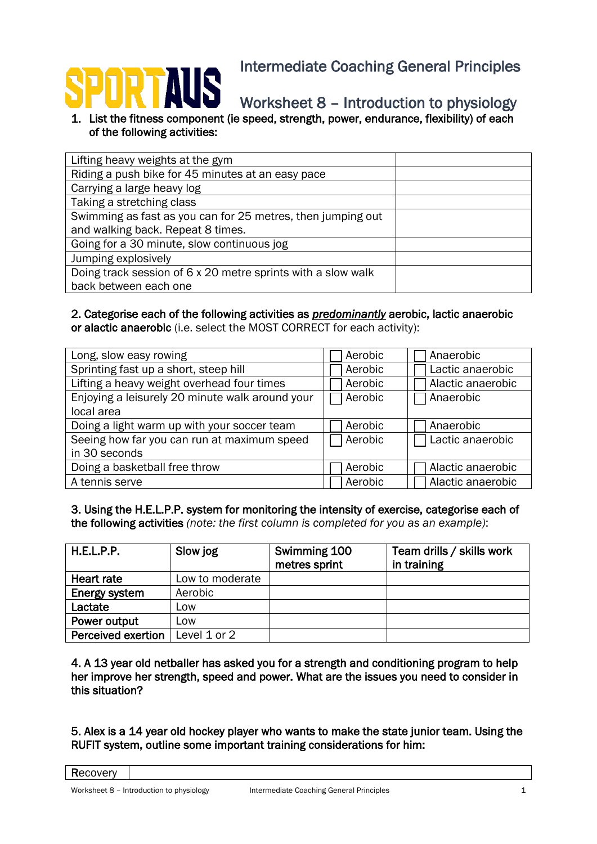# L

Worksheet 8 – Introduction to physiology

1. List the fitness component (ie speed, strength, power, endurance, flexibility) of each of the following activities:

| Lifting heavy weights at the gym                             |  |
|--------------------------------------------------------------|--|
| Riding a push bike for 45 minutes at an easy pace            |  |
| Carrying a large heavy log                                   |  |
| Taking a stretching class                                    |  |
| Swimming as fast as you can for 25 metres, then jumping out  |  |
| and walking back. Repeat 8 times.                            |  |
| Going for a 30 minute, slow continuous jog                   |  |
| Jumping explosively                                          |  |
| Doing track session of 6 x 20 metre sprints with a slow walk |  |
| back between each one                                        |  |

# 2. Categorise each of the following activities as *predominantly* aerobic, lactic anaerobic or alactic anaerobic (i.e. select the MOST CORRECT for each activity):

| Long, slow easy rowing                          | Aerobic | Anaerobic         |
|-------------------------------------------------|---------|-------------------|
| Sprinting fast up a short, steep hill           | Aerobic | Lactic anaerobic  |
| Lifting a heavy weight overhead four times      | Aerobic | Alactic anaerobic |
| Enjoying a leisurely 20 minute walk around your | Aerobic | Anaerobic         |
| local area                                      |         |                   |
| Doing a light warm up with your soccer team     | Aerobic | Anaerobic         |
| Seeing how far you can run at maximum speed     | Aerobic | Lactic anaerobic  |
| in 30 seconds                                   |         |                   |
| Doing a basketball free throw                   | Aerobic | Alactic anaerobic |
| A tennis serve                                  | Aerobic | Alactic anaerobic |

3. Using the H.E.L.P.P. system for monitoring the intensity of exercise, categorise each of the following activities *(note: the first column is completed for you as an example)*:

| H.E.L.P.P.         | Slow jog        | Swimming 100<br>metres sprint | Team drills / skills work<br>in training |
|--------------------|-----------------|-------------------------------|------------------------------------------|
| Heart rate         | Low to moderate |                               |                                          |
| Energy system      | Aerobic         |                               |                                          |
| Lactate            | Low             |                               |                                          |
| Power output       | Low             |                               |                                          |
| Perceived exertion | Level 1 or 2    |                               |                                          |

4. A 13 year old netballer has asked you for a strength and conditioning program to help her improve her strength, speed and power. What are the issues you need to consider in this situation?

5. Alex is a 14 year old hockey player who wants to make the state junior team. Using the RUFIT system, outline some important training considerations for him:

**Recovery**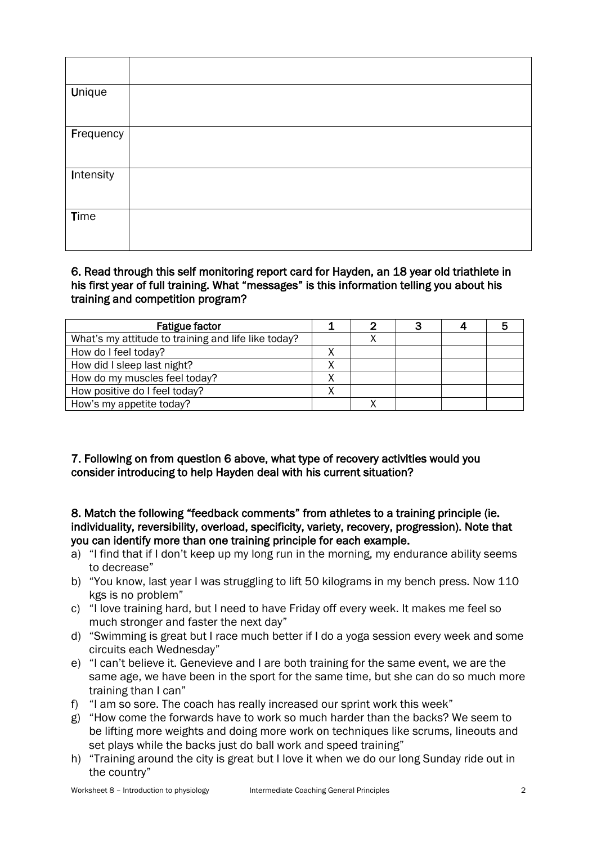| <b>Unique</b> |  |
|---------------|--|
| Frequency     |  |
| Intensity     |  |
| <b>Time</b>   |  |

## 6. Read through this self monitoring report card for Hayden, an 18 year old triathlete in his first year of full training. What "messages" is this information telling you about his training and competition program?

| <b>Fatigue factor</b>                               |  |  |  |
|-----------------------------------------------------|--|--|--|
| What's my attitude to training and life like today? |  |  |  |
| How do I feel today?                                |  |  |  |
| How did I sleep last night?                         |  |  |  |
| How do my muscles feel today?                       |  |  |  |
| How positive do I feel today?                       |  |  |  |
| How's my appetite today?                            |  |  |  |

## 7. Following on from question 6 above, what type of recovery activities would you consider introducing to help Hayden deal with his current situation?

#### 8. Match the following "feedback comments" from athletes to a training principle (ie. individuality, reversibility, overload, specificity, variety, recovery, progression). Note that you can identify more than one training principle for each example.

- a) "I find that if I don't keep up my long run in the morning, my endurance ability seems to decrease"
- b) "You know, last year I was struggling to lift 50 kilograms in my bench press. Now 110 kgs is no problem"
- c) "I love training hard, but I need to have Friday off every week. It makes me feel so much stronger and faster the next day"
- d) "Swimming is great but I race much better if I do a yoga session every week and some circuits each Wednesday"
- e) "I can't believe it. Genevieve and I are both training for the same event, we are the same age, we have been in the sport for the same time, but she can do so much more training than I can"
- f) "I am so sore. The coach has really increased our sprint work this week"
- g) "How come the forwards have to work so much harder than the backs? We seem to be lifting more weights and doing more work on techniques like scrums, lineouts and set plays while the backs just do ball work and speed training"
- h) "Training around the city is great but I love it when we do our long Sunday ride out in the country"